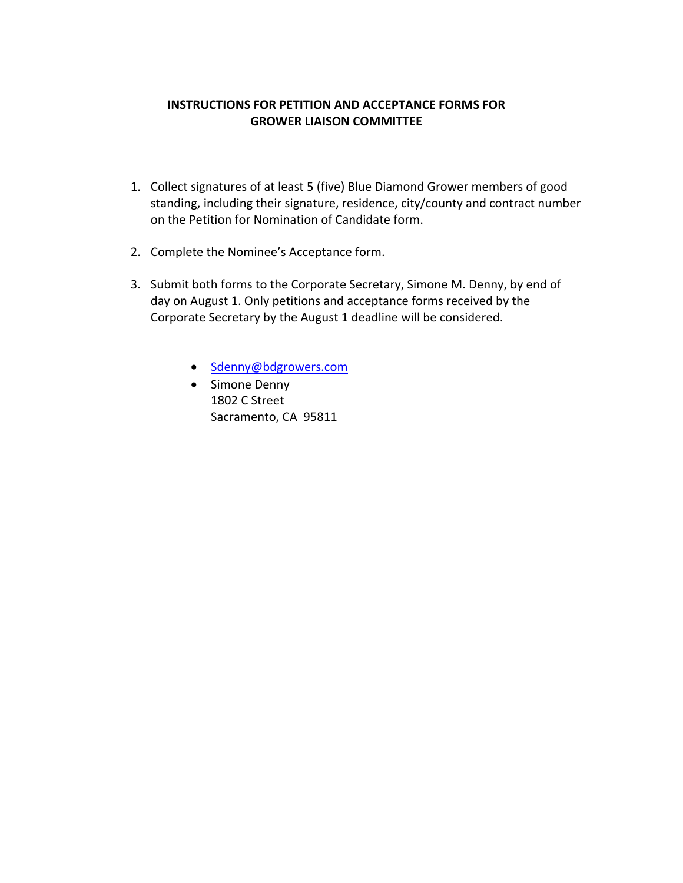## **INSTRUCTIONS FOR PETITION AND ACCEPTANCE FORMS FOR GROWER LIAISON COMMITTEE**

- 1. Collect signatures of at least 5 (five) Blue Diamond Grower members of good standing, including their signature, residence, city/county and contract number on the Petition for Nomination of Candidate form.
- 2. Complete the Nominee's Acceptance form.
- 3. Submit both forms to the Corporate Secretary, Simone M. Denny, by end of day on August 1. Only petitions and acceptance forms received by the Corporate Secretary by the August 1 deadline will be considered.
	- [Sdenny@bdgrowers.com](mailto:sdenny@bdgrowers.com)
	- Simone Denny 1802 C Street Sacramento, CA 95811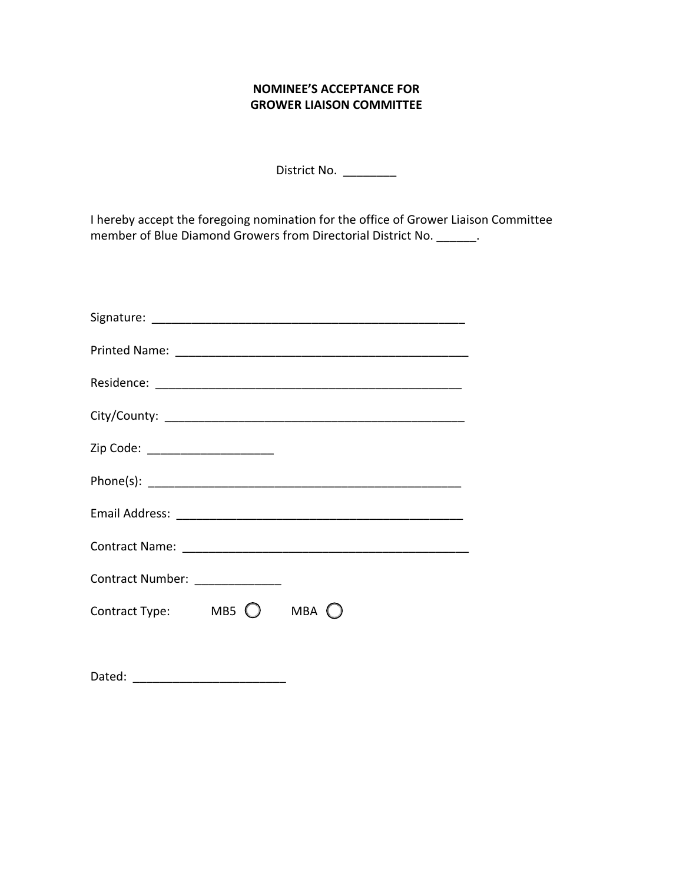## **NOMINEE'S ACCEPTANCE FOR GROWER LIAISON COMMITTEE**

District No. \_\_\_\_\_\_\_\_\_

 I hereby accept the foregoing nomination for the office of Grower Liaison Committee member of Blue Diamond Growers from Directorial District No. \_\_\_\_\_\_\_.

| Zip Code: _______________________            |  |  |
|----------------------------------------------|--|--|
|                                              |  |  |
|                                              |  |  |
|                                              |  |  |
| Contract Number: _______________             |  |  |
| Contract Type: MB5 $\bigcirc$ MBA $\bigcirc$ |  |  |
|                                              |  |  |

| Dated: |  |
|--------|--|
|--------|--|